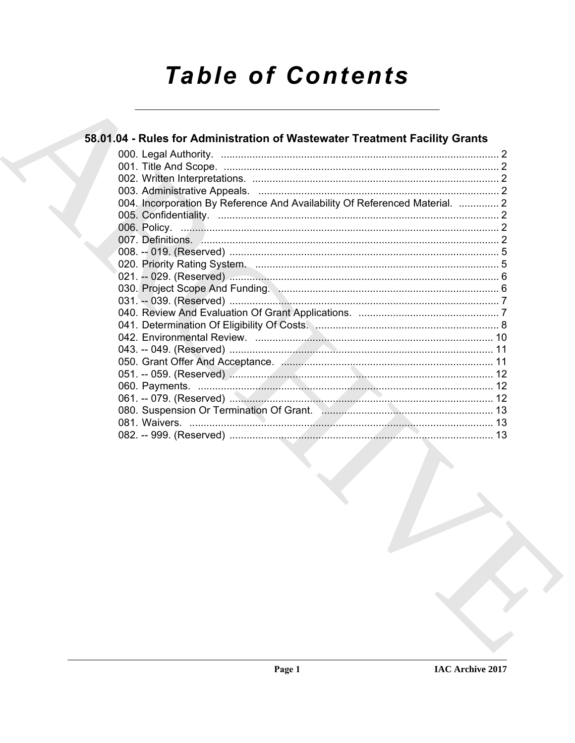# **Table of Contents**

| 58.01.04 - Rules for Administration of Wastewater Treatment Facility Grants |  |
|-----------------------------------------------------------------------------|--|
|                                                                             |  |
|                                                                             |  |
|                                                                             |  |
|                                                                             |  |
| 004. Incorporation By Reference And Availability Of Referenced Material.  2 |  |
|                                                                             |  |
|                                                                             |  |
|                                                                             |  |
|                                                                             |  |
|                                                                             |  |
|                                                                             |  |
| 030. Project Scope And Funding. Manufacture and the control of 6            |  |
|                                                                             |  |
|                                                                             |  |
| 041. Determination Of Eligibility Of Costs. Museum manufacture and 8        |  |
|                                                                             |  |
|                                                                             |  |
|                                                                             |  |
|                                                                             |  |
|                                                                             |  |
|                                                                             |  |
|                                                                             |  |
|                                                                             |  |
|                                                                             |  |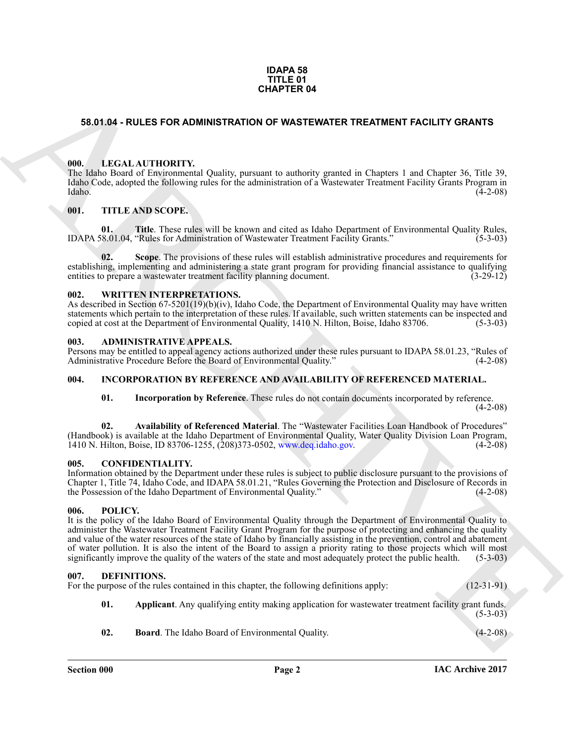### **IDAPA 58 TITLE 01 CHAPTER 04**

# <span id="page-1-0"></span>**58.01.04 - RULES FOR ADMINISTRATION OF WASTEWATER TREATMENT FACILITY GRANTS**

## <span id="page-1-1"></span>**000. LEGAL AUTHORITY.**

The Idaho Board of Environmental Quality, pursuant to authority granted in Chapters 1 and Chapter 36, Title 39, Idaho Code, adopted the following rules for the administration of a Wastewater Treatment Facility Grants Program in Idaho. (4-2-08)

# <span id="page-1-2"></span>**001. TITLE AND SCOPE.**

**01. Title**. These rules will be known and cited as Idaho Department of Environmental Quality Rules, 18.01.04, "Rules for Administration of Wastewater Treatment Facility Grants." (5-3-03) IDAPA 58.01.04, "Rules for Administration of Wastewater Treatment Facility Grants."

**Scope**. The provisions of these rules will establish administrative procedures and requirements for establishing, implementing and administering a state grant program for providing financial assistance to qualifying entities to prepare a wastewater treatment facility planning document. (3-29-12)

# <span id="page-1-3"></span>**002. WRITTEN INTERPRETATIONS.**

As described in Section 67-5201(19)(b)(iv), Idaho Code, the Department of Environmental Quality may have written statements which pertain to the interpretation of these rules. If available, such written statements can be inspected and copied at cost at the Department of Environmental Quality, 1410 N. Hilton, Boise, Idaho 83706. (5-3copied at cost at the Department of Environmental Quality, 1410 N. Hilton, Boise, Idaho 83706.

### <span id="page-1-4"></span>**003. ADMINISTRATIVE APPEALS.**

Persons may be entitled to appeal agency actions authorized under these rules pursuant to IDAPA 58.01.23, "Rules of Administrative Procedure Before the Board of Environmental Quality.'

### <span id="page-1-5"></span>**004. INCORPORATION BY REFERENCE AND AVAILABILITY OF REFERENCED MATERIAL.**

**01. Incorporation by Reference**. These rules do not contain documents incorporated by reference.  $(4-2-08)$ 

**02. Availability of Referenced Material**. The "Wastewater Facilities Loan Handbook of Procedures" (Handbook) is available at the Idaho Department of Environmental Quality, Water Quality Division Loan Program, 1410 N. Hilton, Boise, ID 83706-1255, (208)373-0502, www.deq.idaho.gov. (4-2-08)

## <span id="page-1-6"></span>**005. CONFIDENTIALITY.**

Information obtained by the Department under these rules is subject to public disclosure pursuant to the provisions of Chapter 1, Title 74, Idaho Code, and IDAPA 58.01.21, "Rules Governing the Protection and Disclosure of Records in the Possession of the Idaho Department of Environmental Quality." (4-2-08)

### <span id="page-1-7"></span>**006. POLICY.**

**GHAPTER 64**<br> **CHAPTER 64**<br> **CHARC[HIV](www.deq.idaho.gov)E COMMUNISTRATION OF WASTENVITER TREATMENT FACILITY ORANTS<br>
(III) A LIGAL ALTITONITY of Quality possions to multionly gamed in Chapter 1.0 and Chapter 2.6, This 38,<br>
(III) A ARCHIVE CO** It is the policy of the Idaho Board of Environmental Quality through the Department of Environmental Quality to administer the Wastewater Treatment Facility Grant Program for the purpose of protecting and enhancing the quality and value of the water resources of the state of Idaho by financially assisting in the prevention, control and abatement of water pollution. It is also the intent of the Board to assign a priority rating to those projects which will most significantly improve the quality of the waters of the state and most adequately protect the public healt significantly improve the quality of the waters of the state and most adequately protect the public health.

### <span id="page-1-9"></span><span id="page-1-8"></span>**007. DEFINITIONS.**

| For the purpose of the rules contained in this chapter, the following definitions apply: |  | $(12-31-91)$ |  |
|------------------------------------------------------------------------------------------|--|--------------|--|
|------------------------------------------------------------------------------------------|--|--------------|--|

<span id="page-1-10"></span>**01. Applicant**. Any qualifying entity making application for wastewater treatment facility grant funds. (5-3-03)

<span id="page-1-11"></span>**02. Board**. The Idaho Board of Environmental Quality. (4-2-08)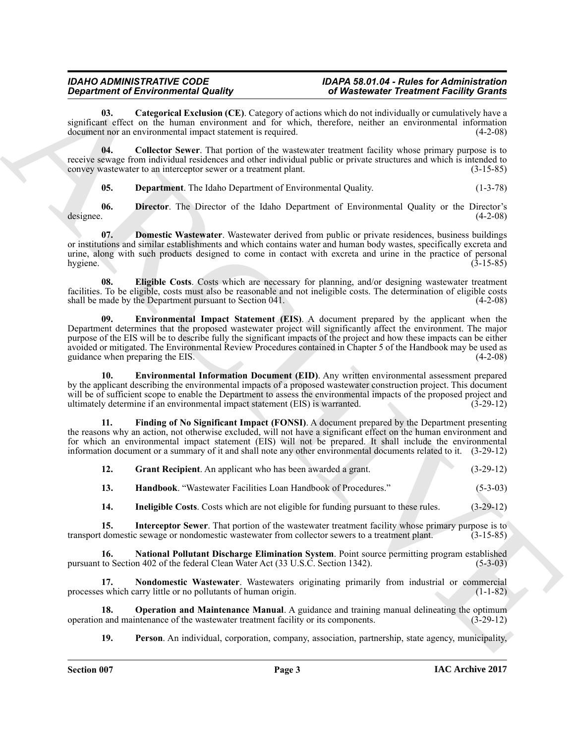### *IDAHO ADMINISTRATIVE CODE IDAPA 58.01.04 - Rules for Administration of Wastewater Treatment Facility Grants*

<span id="page-2-0"></span>**03. Categorical Exclusion (CE)**. Category of actions which do not individually or cumulatively have a significant effect on the human environment and for which, therefore, neither an environmental information document nor an environmental impact statement is required. (4-2-08) document nor an environmental impact statement is required.

**04. Collector Sewer**. That portion of the wastewater treatment facility whose primary purpose is to receive sewage from individual residences and other individual public or private structures and which is intended to convey wastewater to an interceptor sewer or a treatment plant. (3-15-85) convey wastewater to an interceptor sewer or a treatment plant.

<span id="page-2-4"></span><span id="page-2-3"></span><span id="page-2-2"></span><span id="page-2-1"></span>**05. Department**. The Idaho Department of Environmental Quality. (1-3-78)

**06.** Director. The Director of the Idaho Department of Environmental Quality or the Director's designee. (4-2-08) designee. (4-2-08)

**07. Domestic Wastewater**. Wastewater derived from public or private residences, business buildings or institutions and similar establishments and which contains water and human body wastes, specifically excreta and urine, along with such products designed to come in contact with excreta and urine in the practice of personal hygiene. (3-15-85) hygiene. (3-15-85)

<span id="page-2-6"></span><span id="page-2-5"></span>**08. Eligible Costs**. Costs which are necessary for planning, and/or designing wastewater treatment facilities. To be eligible, costs must also be reasonable and not ineligible costs. The determination of eligible costs shall be made by the Department pursuant to Section 041. shall be made by the Department pursuant to Section 041.

Generation of Entertainmental Costal Constrainers (E1) Where we have a constrainer of Figure (E1) A decoration of the system of the system of the system of the system of the system of the system of the system of the syste **09. Environmental Impact Statement (EIS)**. A document prepared by the applicant when the Department determines that the proposed wastewater project will significantly affect the environment. The major purpose of the EIS will be to describe fully the significant impacts of the project and how these impacts can be either avoided or mitigated. The Environmental Review Procedures contained in Chapter 5 of the Handbook may be used as guidance when preparing the EIS.

<span id="page-2-7"></span>**10. Environmental Information Document (EID)**. Any written environmental assessment prepared by the applicant describing the environmental impacts of a proposed wastewater construction project. This document will be of sufficient scope to enable the Department to assess the environmental impacts of the proposed project and ultimately determine if an environmental impact statement (EIS) is warranted. (3-29-12) ultimately determine if an environmental impact statement (EIS) is warranted.

**11. Finding of No Significant Impact (FONSI)**. A document prepared by the Department presenting the reasons why an action, not otherwise excluded, will not have a significant effect on the human environment and for which an environmental impact statement (EIS) will not be prepared. It shall include the environmental information document or a summary of it and shall note any other environmental documents related to it. (3-29-12)

<span id="page-2-9"></span><span id="page-2-8"></span>

| 12. | <b>Grant Recipient.</b> An applicant who has been awarded a grant. | $(3-29-12)$ |
|-----|--------------------------------------------------------------------|-------------|
|-----|--------------------------------------------------------------------|-------------|

<span id="page-2-10"></span>**13. Handbook**. "Wastewater Facilities Loan Handbook of Procedures." (5-3-03)

<span id="page-2-13"></span><span id="page-2-12"></span><span id="page-2-11"></span>**14. Ineligible Costs**. Costs which are not eligible for funding pursuant to these rules. (3-29-12)

**15. Interceptor Sewer**. That portion of the wastewater treatment facility whose primary purpose is to domestic sewage or nondomestic wastewater from collector sewers to a treatment plant. (3-15-85) transport domestic sewage or nondomestic wastewater from collector sewers to a treatment plant.

**16.** National Pollutant Discharge Elimination System. Point source permitting program established to Section 402 of the federal Clean Water Act (33 U.S.C. Section 1342). (5-3-03) pursuant to Section 402 of the federal Clean Water Act (33 U.S.C. Section 1342).

<span id="page-2-14"></span>**17. Nondomestic Wastewater**. Wastewaters originating primarily from industrial or commercial processes which carry little or no pollutants of human origin. (1-1-82)

**18. Operation and Maintenance Manual**. A guidance and training manual delineating the optimum and maintenance of the wastewater treatment facility or its components. (3-29-12) operation and maintenance of the wastewater treatment facility or its components.

<span id="page-2-16"></span><span id="page-2-15"></span>**19. Person**. An individual, corporation, company, association, partnership, state agency, municipality,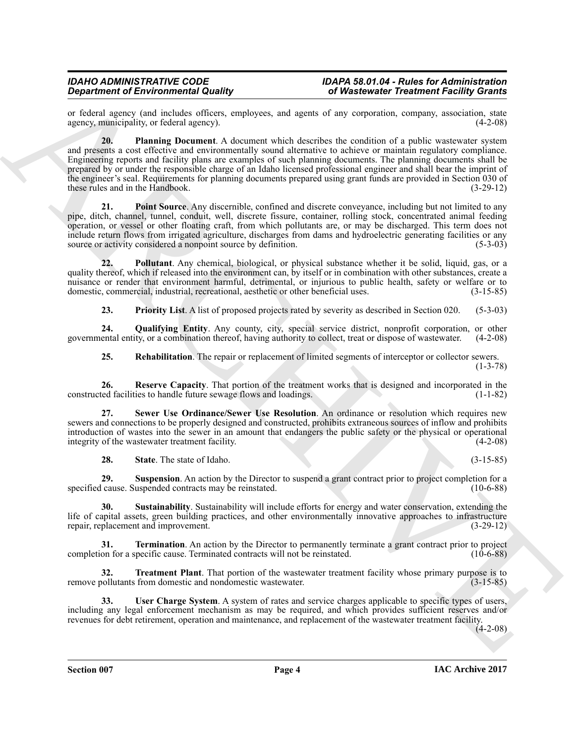<span id="page-3-0"></span>or federal agency (and includes officers, employees, and agents of any corporation, company, association, state agency, municipality or federal agency). agency, municipality, or federal agency).

**Contract of Entropy control and Proposition** Control and the set of **Westerwater Proposition** Control and the set of the set of the set of the set of the set of the set of the set of the set of the set of the set of the **20. Planning Document**. A document which describes the condition of a public wastewater system and presents a cost effective and environmentally sound alternative to achieve or maintain regulatory compliance. Engineering reports and facility plans are examples of such planning documents. The planning documents shall be prepared by or under the responsible charge of an Idaho licensed professional engineer and shall bear the imprint of the engineer's seal. Requirements for planning documents prepared using grant funds are provided in Section 030 of these rules and in the Handbook. (3-29-12)

<span id="page-3-1"></span>**21. Point Source**. Any discernible, confined and discrete conveyance, including but not limited to any pipe, ditch, channel, tunnel, conduit, well, discrete fissure, container, rolling stock, concentrated animal feeding operation, or vessel or other floating craft, from which pollutants are, or may be discharged. This term does not include return flows from irrigated agriculture, discharges from dams and hydroelectric generating facilities or any source or activity considered a nonpoint source by definition. (5-3-03)

**22. Pollutant**. Any chemical, biological, or physical substance whether it be solid, liquid, gas, or a quality thereof, which if released into the environment can, by itself or in combination with other substances, create a nuisance or render that environment harmful, detrimental, or injurious to public health, safety or welfare or to domestic, commercial, industrial, recreational, aesthetic or other beneficial uses. (3-15-85)

<span id="page-3-4"></span><span id="page-3-3"></span><span id="page-3-2"></span>**23. Priority List**. A list of proposed projects rated by severity as described in Section 020. (5-3-03)

**24. Qualifying Entity**. Any county, city, special service district, nonprofit corporation, or other governmental entity, or a combination thereof, having authority to collect, treat or dispose of wastewater. (4-2-08)

<span id="page-3-7"></span><span id="page-3-6"></span><span id="page-3-5"></span>**25. Rehabilitation**. The repair or replacement of limited segments of interceptor or collector sewers. (1-3-78)

**26.** Reserve Capacity. That portion of the treatment works that is designed and incorporated in the ted facilities to handle future sewage flows and loadings. (1-1-82) constructed facilities to handle future sewage flows and loadings.

**27. Sewer Use Ordinance/Sewer Use Resolution**. An ordinance or resolution which requires new sewers and connections to be properly designed and constructed, prohibits extraneous sources of inflow and prohibits introduction of wastes into the sewer in an amount that endangers the public safety or the physical or operational integrity of the wastewater treatment facility.

<span id="page-3-13"></span><span id="page-3-9"></span><span id="page-3-8"></span>**28.** State. The state of Idaho. (3-15-85)

**29. Suspension**. An action by the Director to suspend a grant contract prior to project completion for a cause. Suspended contracts may be reinstated. (10-6-88) specified cause. Suspended contracts may be reinstated.

**30. Sustainability**. Sustainability will include efforts for energy and water conservation, extending the life of capital assets, green building practices, and other environmentally innovative approaches to infrastructure repair, replacement and improvement. (3-29-12) repair, replacement and improvement.

<span id="page-3-10"></span>**31. Termination**. An action by the Director to permanently terminate a grant contract prior to project completion for a specific cause. Terminated contracts will not be reinstated. (10-6-88)

<span id="page-3-11"></span>**32. Treatment Plant**. That portion of the wastewater treatment facility whose primary purpose is to from domestic and nondomestic wastewater. (3-15-85) remove pollutants from domestic and nondomestic wastewater.

<span id="page-3-12"></span>**33. User Charge System**. A system of rates and service charges applicable to specific types of users, including any legal enforcement mechanism as may be required, and which provides sufficient reserves and/or revenues for debt retirement, operation and maintenance, and replacement of the wastewater treatment facility.

(4-2-08)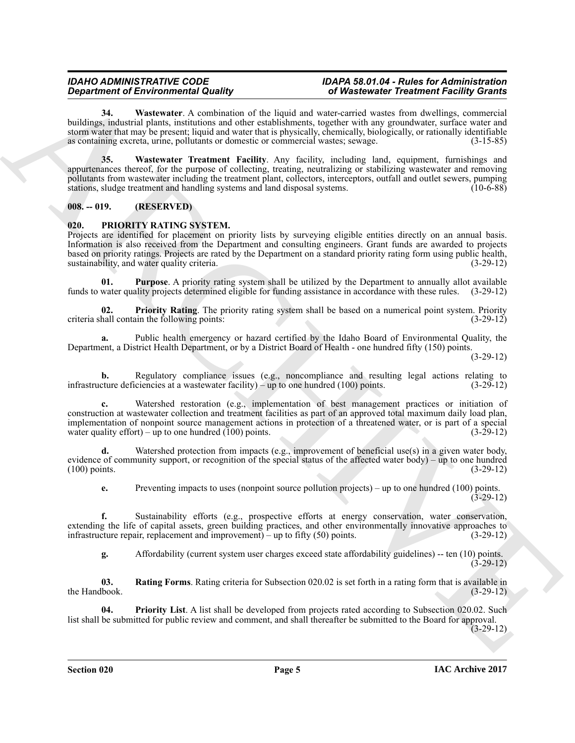# *IDAHO ADMINISTRATIVE CODE IDAPA 58.01.04 - Rules for Administration Department Facility Grants*

<span id="page-4-3"></span><span id="page-4-2"></span>**34. Wastewater**. A combination of the liquid and water-carried wastes from dwellings, commercial buildings, industrial plants, institutions and other establishments, together with any groundwater, surface water and storm water that may be present; liquid and water that is physically, chemically, biologically, or rationally identifiable as containing excreta, urine, pollutants or domestic or commercial wastes; sewage. (3-15-85)

*Department of Encyclopedial Galley School 2008* **Constrained Theoretical Theoretical Theoretical School 2008 Constrained Theoretical School 2008 Constrained Theoretical School 2008 Constrained Theoretical Galley School 2 35. Wastewater Treatment Facility**. Any facility, including land, equipment, furnishings and appurtenances thereof, for the purpose of collecting, treating, neutralizing or stabilizing wastewater and removing pollutants from wastewater including the treatment plant, collectors, interceptors, outfall and outlet sewers, pumping stations, sludge treatment and handling systems and land disposal systems. (10-6-88)

# <span id="page-4-0"></span>**008. -- 019. (RESERVED)**

# <span id="page-4-4"></span><span id="page-4-1"></span>**020. PRIORITY RATING SYSTEM.**

Projects are identified for placement on priority lists by surveying eligible entities directly on an annual basis. Information is also received from the Department and consulting engineers. Grant funds are awarded to projects based on priority ratings. Projects are rated by the Department on a standard priority rating form using public health, sustainability, and water quality criteria.

<span id="page-4-7"></span>**01. Purpose**. A priority rating system shall be utilized by the Department to annually allot available funds to water quality projects determined eligible for funding assistance in accordance with these rules. (3-29-12)

<span id="page-4-6"></span>**02. Priority Rating**. The priority rating system shall be based on a numerical point system. Priority hall contain the following points: (3-29-12) criteria shall contain the following points:

**a.** Public health emergency or hazard certified by the Idaho Board of Environmental Quality, the Department, a District Health Department, or by a District Board of Health - one hundred fifty (150) points.

(3-29-12)

**b.** Regulatory compliance issues (e.g., noncompliance and resulting legal actions relating to cture deficiencies at a wastewater facility) – up to one hundred (100) points. (3-29-12) infrastructure deficiencies at a wastewater facility) – up to one hundred (100) points.

**c.** Watershed restoration (e.g., implementation of best management practices or initiation of construction at wastewater collection and treatment facilities as part of an approved total maximum daily load plan, implementation of nonpoint source management actions in protection of a threatened water, or is part of a special water quality effort) – up to one hundred (100) points. water quality effort) – up to one hundred  $(100)$  points.

**d.** Watershed protection from impacts (e.g., improvement of beneficial use(s) in a given water body, evidence of community support, or recognition of the special status of the affected water body) – up to one hundred (100) points. (3-29-12)

**e.** Preventing impacts to uses (nonpoint source pollution projects) – up to one hundred (100) points. (3-29-12)

**f.** Sustainability efforts (e.g., prospective efforts at energy conservation, water conservation, extending the life of capital assets, green building practices, and other environmentally innovative approaches to infrastructure repair, replacement and improvement) – up to fifty (50) points. (3-29-12) infrastructure repair, replacement and improvement) – up to fifty  $(50)$  points.

<span id="page-4-8"></span><span id="page-4-5"></span>**g.** Affordability (current system user charges exceed state affordability guidelines) -- ten (10) points. (3-29-12)

**03. Rating Forms**. Rating criteria for Subsection 020.02 is set forth in a rating form that is available in the Handbook. (3-29-12)

**04. Priority List**. A list shall be developed from projects rated according to Subsection 020.02. Such list shall be submitted for public review and comment, and shall thereafter be submitted to the Board for approval.  $(3-29-12)$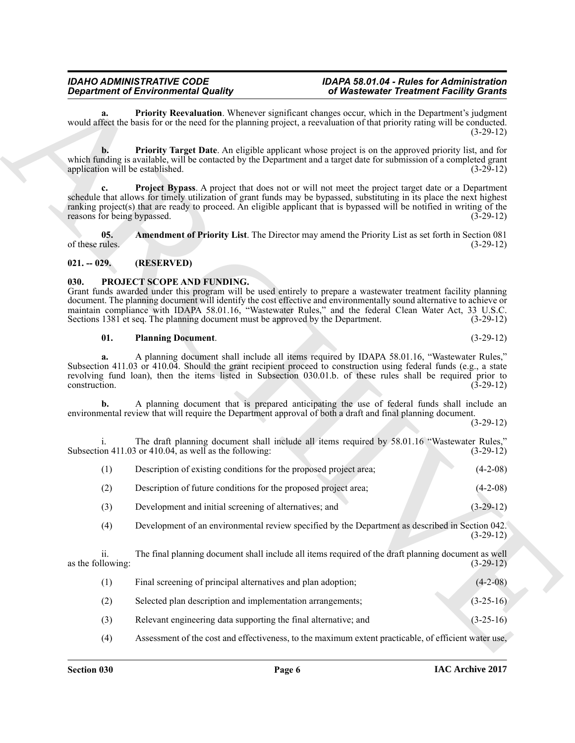# **Section 030 Page 6**

# *IDAHO ADMINISTRATIVE CODE IDAPA 58.01.04 - Rules for Administration Department Facility Grants*

<span id="page-5-3"></span>**a. Priority Reevaluation**. Whenever significant changes occur, which in the Department's judgment would affect the basis for or the need for the planning project, a reevaluation of that priority rating will be conducted. (3-29-12)

<span id="page-5-5"></span><span id="page-5-4"></span>**b.** Priority Target Date. An eligible applicant whose project is on the approved priority list, and for which funding is available, will be contacted by the Department and a target date for submission of a completed grant application will be established. (3-29-12) application will be established.

Government of Environmental Gastley. The Waleston structure of the matter of the structure of the structure of the structure of the structure of the structure of the structure of the structure of the structure of the stru **Project Bypass.** A project that does not or will not meet the project target date or a Department schedule that allows for timely utilization of grant funds may be bypassed, substituting in its place the next highest ranking project(s) that are ready to proceed. An eligible applicant that is bypassed will be notified in writing of the reasons for being bypassed. (3-29-12) reasons for being bypassed.

<span id="page-5-2"></span>**05.** Amendment of Priority List. The Director may amend the Priority List as set forth in Section 081 of these rules. (3-29-12) of these rules.  $(3-29-12)$ 

# <span id="page-5-0"></span>**021. -- 029. (RESERVED)**

# <span id="page-5-6"></span><span id="page-5-1"></span>**030. PROJECT SCOPE AND FUNDING.**

Grant funds awarded under this program will be used entirely to prepare a wastewater treatment facility planning document. The planning document will identify the cost effective and environmentally sound alternative to achieve or maintain compliance with IDAPA 58.01.16, "Wastewater Rules," and the federal Clean Water Act, 33 U.S.C.<br>Sections 1381 et seq. The planning document must be approved by the Department. (3-29-12) Sections 1381 et seq. The planning document must be approved by the Department.

### <span id="page-5-7"></span>**01. Planning Document**. (3-29-12)

**a.** A planning document shall include all items required by IDAPA 58.01.16, "Wastewater Rules," Subsection 411.03 or 410.04. Should the grant recipient proceed to construction using federal funds (e.g., a state revolving fund loan), then the items listed in Subsection 030.01.b. of these rules shall be required prior to construction. (3-29-12) construction. (3-29-12)

**b.** A planning document that is prepared anticipating the use of federal funds shall include an environmental review that will require the Department approval of both a draft and final planning document.

(3-29-12)

i. The draft planning document shall include all items required by 58.01.16 "Wastewater Rules," Subsection  $411.03$  or  $410.04$ , as well as the following:

(1) Description of existing conditions for the proposed project area; (4-2-08)

(2) Description of future conditions for the proposed project area; (4-2-08)

(3) Development and initial screening of alternatives; and (3-29-12)

(4) Development of an environmental review specified by the Department as described in Section 042. (3-29-12)

ii. The final planning document shall include all items required of the draft planning document as well as the following:  $(3-29-12)$ 

| Final screening of principal alternatives and plan adoption; | $(4-2-08)$  |
|--------------------------------------------------------------|-------------|
| Selected plan description and implementation arrangements;   | $(3-25-16)$ |

- (3) Relevant engineering data supporting the final alternative; and (3-25-16)
- (4) Assessment of the cost and effectiveness, to the maximum extent practicable, of efficient water use,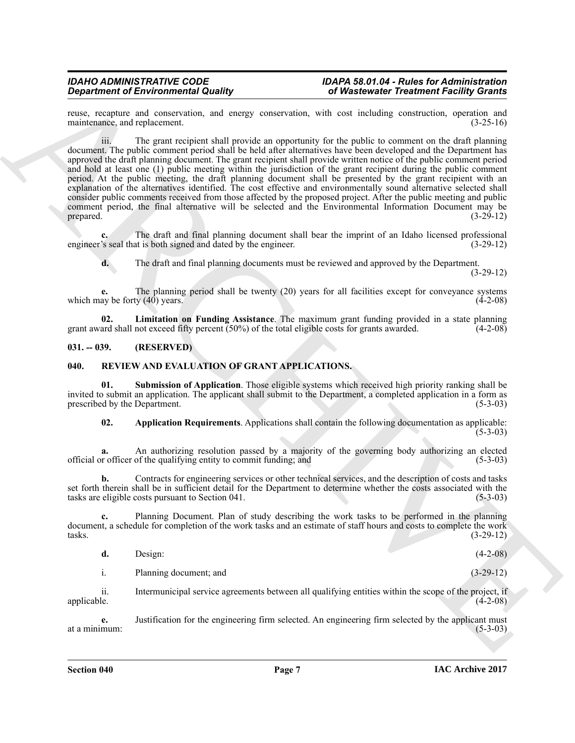reuse, recapture and conservation, and energy conservation, with cost including construction, operation and maintenance, and replacement. (3-25-16) maintenance, and replacement.

**Consideration of Entroprints (and the system of the system of the system of the system of the system of the system of the system of the system of the system of the system of the system of the system of the system of the** iii. The grant recipient shall provide an opportunity for the public to comment on the draft planning document. The public comment period shall be held after alternatives have been developed and the Department has approved the draft planning document. The grant recipient shall provide written notice of the public comment period and hold at least one (1) public meeting within the jurisdiction of the grant recipient during the public comment period. At the public meeting, the draft planning document shall be presented by the grant recipient with an explanation of the alternatives identified. The cost effective and environmentally sound alternative selected shall consider public comments received from those affected by the proposed project. After the public meeting and public comment period, the final alternative will be selected and the Environmental Information Document may be prepared. (3-29-12) prepared.  $(3-29-12)$ 

**c.** The draft and final planning document shall bear the imprint of an Idaho licensed professional engineer's seal that is both signed and dated by the engineer. (3-29-12)

<span id="page-6-2"></span>**d.** The draft and final planning documents must be reviewed and approved by the Department. (3-29-12)

**e.** The planning period shall be twenty (20) years for all facilities except for conveyance systems av be forty (40) years. (4-2-08) which may be forty  $(40)$  years.

**02.** Limitation on Funding Assistance. The maximum grant funding provided in a state planning ard shall not exceed fifty percent (50%) of the total eligible costs for grants awarded. (4-2-08) grant award shall not exceed fifty percent  $(50\%)$  of the total eligible costs for grants awarded.

# <span id="page-6-0"></span>**031. -- 039. (RESERVED)**

# <span id="page-6-3"></span><span id="page-6-1"></span>**040. REVIEW AND EVALUATION OF GRANT APPLICATIONS.**

**01. Submission of Application**. Those eligible systems which received high priority ranking shall be invited to submit an application. The applicant shall submit to the Department, a completed application in a form as prescribed by the Department. (5-3-03) prescribed by the Department.

<span id="page-6-5"></span><span id="page-6-4"></span>**02. Application Requirements**. Applications shall contain the following documentation as applicable:  $(5 - 3 - 03)$ 

**a.** An authorizing resolution passed by a majority of the governing body authorizing an elected r officer of the qualifying entity to commit funding; and (5-3-03) official or officer of the qualifying entity to commit funding; and (5-3-03)

**b.** Contracts for engineering services or other technical services, and the description of costs and tasks set forth therein shall be in sufficient detail for the Department to determine whether the costs associated with the tasks are eligible costs pursuant to Section 041. (5-3-03)

**c.** Planning Document. Plan of study describing the work tasks to be performed in the planning document, a schedule for completion of the work tasks and an estimate of staff hours and costs to complete the work tasks.<br>(3-29-12)  $t$ asks.  $(3-29-12)$ 

| d. | Design: | $(4-2-08)$ |
|----|---------|------------|
|    |         |            |

i. Planning document; and (3-29-12)

ii. Intermunicipal service agreements between all qualifying entities within the scope of the project, if applicable. (4-2-08)

**e.** Justification for the engineering firm selected. An engineering firm selected by the applicant must (5-3-03) at a minimum: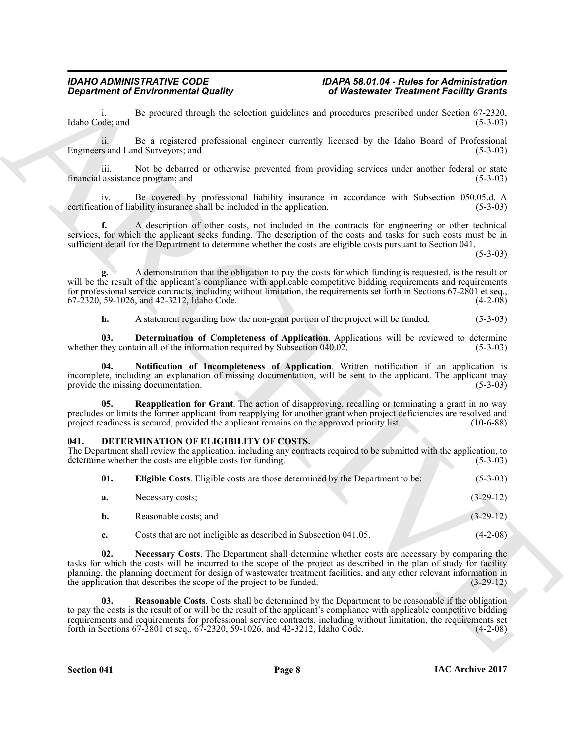# <span id="page-7-7"></span><span id="page-7-6"></span><span id="page-7-5"></span><span id="page-7-4"></span><span id="page-7-3"></span><span id="page-7-2"></span><span id="page-7-1"></span><span id="page-7-0"></span>**041. DETERMINATION OF ELIGIBILITY OF COSTS.**

|                                           | <b>Department of Environmental Quality</b>                                                                      | of Wastewater Treatment Facility Grants                                                                                                                                                                                                                                                                                                                                    |
|-------------------------------------------|-----------------------------------------------------------------------------------------------------------------|----------------------------------------------------------------------------------------------------------------------------------------------------------------------------------------------------------------------------------------------------------------------------------------------------------------------------------------------------------------------------|
| Idaho Code; and                           |                                                                                                                 | Be procured through the selection guidelines and procedures prescribed under Section 67-2320,<br>$(5-3-03)$                                                                                                                                                                                                                                                                |
| 11.<br>Engineers and Land Surveyors; and  |                                                                                                                 | Be a registered professional engineer currently licensed by the Idaho Board of Professional<br>$(5-3-03)$                                                                                                                                                                                                                                                                  |
| iii.<br>financial assistance program; and |                                                                                                                 | Not be debarred or otherwise prevented from providing services under another federal or state<br>$(5-3-03)$                                                                                                                                                                                                                                                                |
| IV.                                       | certification of liability insurance shall be included in the application.                                      | Be covered by professional liability insurance in accordance with Subsection 050.05.d. A<br>$(5-3-03)$                                                                                                                                                                                                                                                                     |
| f.                                        | sufficient detail for the Department to determine whether the costs are eligible costs pursuant to Section 041. | A description of other costs, not included in the contracts for engineering or other technical<br>services, for which the applicant seeks funding. The description of the costs and tasks for such costs must be in<br>$(5-3-03)$                                                                                                                                          |
|                                           | 67-2320, 59-1026, and 42-3212, Idaho Code.                                                                      | A demonstration that the obligation to pay the costs for which funding is requested, is the result or<br>will be the result of the applicant's compliance with applicable competitive bidding requirements and requirements<br>for professional service contracts, including without limitation, the requirements set forth in Sections 67-2801 et seq.,<br>$(4-2-08)$     |
| h.                                        | A statement regarding how the non-grant portion of the project will be funded.                                  | $(5-3-03)$                                                                                                                                                                                                                                                                                                                                                                 |
| 03.                                       | whether they contain all of the information required by Subsection 040.02.                                      | Determination of Completeness of Application. Applications will be reviewed to determine<br>$(5-3-03)$                                                                                                                                                                                                                                                                     |
| 04.<br>provide the missing documentation. |                                                                                                                 | Notification of Incompleteness of Application. Written notification if an application is<br>incomplete, including an explanation of missing documentation, will be sent to the applicant. The applicant may<br>$(5-3-03)$                                                                                                                                                  |
| 05.                                       | project readiness is secured, provided the applicant remains on the approved priority list.                     | <b>Reapplication for Grant</b> . The action of disapproving, recalling or terminating a grant in no way<br>precludes or limits the former applicant from reapplying for another grant when project deficiencies are resolved and<br>$(10-6-88)$                                                                                                                            |
| 041.                                      | DETERMINATION OF ELIGIBILITY OF COSTS.<br>determine whether the costs are eligible costs for funding.           | The Department shall review the application, including any contracts required to be submitted with the application, to<br>$(5-3-03)$                                                                                                                                                                                                                                       |
| 01.                                       | Eligible Costs. Eligible costs are those determined by the Department to be:                                    | $(5-3-03)$                                                                                                                                                                                                                                                                                                                                                                 |
| a.                                        | Necessary costs;                                                                                                | $(3-29-12)$                                                                                                                                                                                                                                                                                                                                                                |
| b.                                        | Reasonable costs; and                                                                                           | $(3-29-12)$                                                                                                                                                                                                                                                                                                                                                                |
| c.                                        | Costs that are not ineligible as described in Subsection 041.05.                                                | $(4-2-08)$                                                                                                                                                                                                                                                                                                                                                                 |
| 02.                                       | the application that describes the scope of the project to be funded.                                           | Necessary Costs. The Department shall determine whether costs are necessary by comparing the<br>tasks for which the costs will be incurred to the scope of the project as described in the plan of study for facility<br>planning, the planning document for design of wastewater treatment facilities, and any other relevant information in<br>$(3-29-12)$               |
| 03.                                       | forth in Sections 67-2801 et seq., 67-2320, 59-1026, and 42-3212, Idaho Code.                                   | <b>Reasonable Costs.</b> Costs shall be determined by the Department to be reasonable if the obligation<br>to pay the costs is the result of or will be the result of the applicant's compliance with applicable competitive bidding<br>requirements and requirements for professional service contracts, including without limitation, the requirements set<br>$(4-2-08)$ |
|                                           |                                                                                                                 |                                                                                                                                                                                                                                                                                                                                                                            |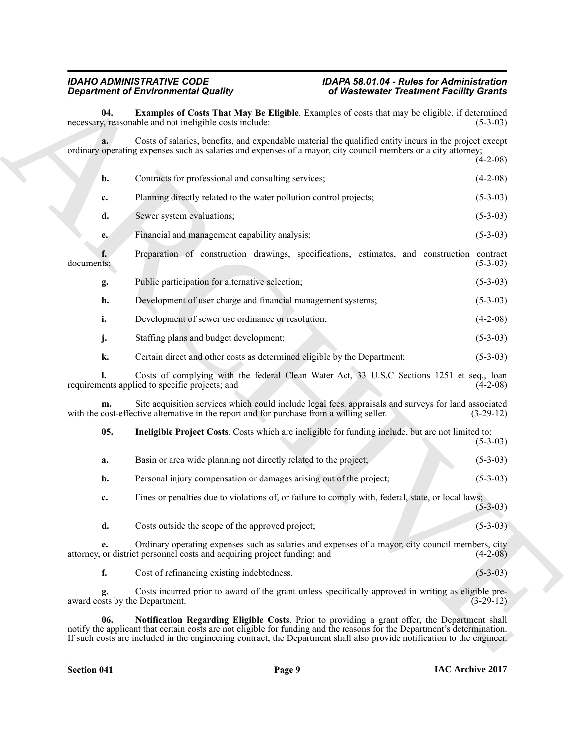# <span id="page-8-2"></span><span id="page-8-1"></span><span id="page-8-0"></span>*IDAHO ADMINISTRATIVE CODE IDAPA 58.01.04 - Rules for Administration Department of Environmental Quality of Wastewater Treatment Facility Grants*

|            | <b>Department of Environmental Quality</b>                                                                                                                                                                                                                                                                                                           | of Wastewater Treatment Facility Grants |
|------------|------------------------------------------------------------------------------------------------------------------------------------------------------------------------------------------------------------------------------------------------------------------------------------------------------------------------------------------------------|-----------------------------------------|
| 04.        | Examples of Costs That May Be Eligible. Examples of costs that may be eligible, if determined<br>necessary, reasonable and not ineligible costs include:                                                                                                                                                                                             | $(5-3-03)$                              |
| a.         | Costs of salaries, benefits, and expendable material the qualified entity incurs in the project except<br>ordinary operating expenses such as salaries and expenses of a mayor, city council members or a city attorney;                                                                                                                             |                                         |
|            |                                                                                                                                                                                                                                                                                                                                                      | $(4-2-08)$                              |
| b.         | Contracts for professional and consulting services;                                                                                                                                                                                                                                                                                                  | $(4-2-08)$                              |
| c.         | Planning directly related to the water pollution control projects;                                                                                                                                                                                                                                                                                   | $(5-3-03)$                              |
| d.         | Sewer system evaluations;                                                                                                                                                                                                                                                                                                                            | $(5-3-03)$                              |
| e.         | Financial and management capability analysis;                                                                                                                                                                                                                                                                                                        | $(5-3-03)$                              |
| documents; | Preparation of construction drawings, specifications, estimates, and construction contract                                                                                                                                                                                                                                                           | $(5-3-03)$                              |
| g.         | Public participation for alternative selection;                                                                                                                                                                                                                                                                                                      | $(5-3-03)$                              |
| h.         | Development of user charge and financial management systems;                                                                                                                                                                                                                                                                                         | $(5-3-03)$                              |
| i.         | Development of sewer use ordinance or resolution;                                                                                                                                                                                                                                                                                                    | $(4-2-08)$                              |
| j.         | Staffing plans and budget development;                                                                                                                                                                                                                                                                                                               | $(5-3-03)$                              |
| k.         | Certain direct and other costs as determined eligible by the Department;                                                                                                                                                                                                                                                                             | $(5-3-03)$                              |
|            | Costs of complying with the federal Clean Water Act, 33 U.S.C Sections 1251 et seq., loan<br>requirements applied to specific projects; and                                                                                                                                                                                                          | $(4-2-08)$                              |
| m.         | Site acquisition services which could include legal fees, appraisals and surveys for land associated<br>with the cost-effective alternative in the report and for purchase from a willing seller.                                                                                                                                                    | $(3-29-12)$                             |
| 05.        | Ineligible Project Costs. Costs which are ineligible for funding include, but are not limited to:                                                                                                                                                                                                                                                    | $(5-3-03)$                              |
| a.         | Basin or area wide planning not directly related to the project;                                                                                                                                                                                                                                                                                     | $(5-3-03)$                              |
| b.         | Personal injury compensation or damages arising out of the project;                                                                                                                                                                                                                                                                                  | $(5-3-03)$                              |
| c.         | Fines or penalties due to violations of, or failure to comply with, federal, state, or local laws;                                                                                                                                                                                                                                                   | $(5 - 3 - 03)$                          |
| d.         | Costs outside the scope of the approved project;                                                                                                                                                                                                                                                                                                     | $(5-3-03)$                              |
| e.         | Ordinary operating expenses such as salaries and expenses of a mayor, city council members, city<br>attorney, or district personnel costs and acquiring project funding; and                                                                                                                                                                         | $(4-2-08)$                              |
| f.         | Cost of refinancing existing indebtedness.                                                                                                                                                                                                                                                                                                           | $(5-3-03)$                              |
| g.         | Costs incurred prior to award of the grant unless specifically approved in writing as eligible pre-<br>award costs by the Department.                                                                                                                                                                                                                | $(3-29-12)$                             |
| 06.        | Notification Regarding Eligible Costs. Prior to providing a grant offer, the Department shall<br>notify the applicant that certain costs are not eligible for funding and the reasons for the Department's determination.<br>If such costs are included in the engineering contract, the Department shall also provide notification to the engineer. |                                         |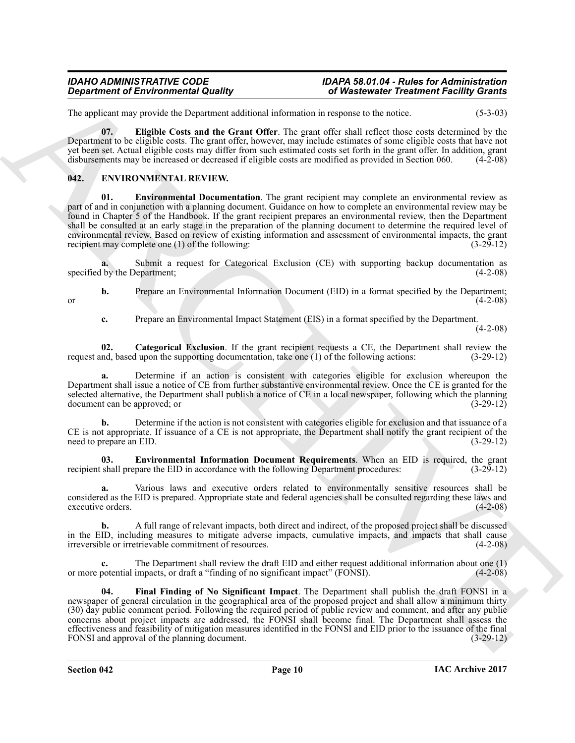## *IDAHO ADMINISTRATIVE CODE IDAPA 58.01.04 - Rules for Administration Department Facility Grants*

The applicant may provide the Department additional information in response to the notice. (5-3-03)

<span id="page-9-1"></span>**07. Eligible Costs and the Grant Offer**. The grant offer shall reflect those costs determined by the Department to be eligible costs. The grant offer, however, may include estimates of some eligible costs that have not yet been set. Actual eligible costs may differ from such estimated costs set forth in the grant offer. In addition, grant disbursements may be increased or decreased if eligible costs are modified as provided in Section 060. (4-2-08)

# <span id="page-9-2"></span><span id="page-9-0"></span>**042. ENVIRONMENTAL REVIEW.**

<span id="page-9-4"></span>**Environmental Documentation**. The grant recipient may complete an environmental review as part of and in conjunction with a planning document. Guidance on how to complete an environmental review may be found in Chapter 5 of the Handbook. If the grant recipient prepares an environmental review, then the Department shall be consulted at an early stage in the preparation of the planning document to determine the required level of environmental review. Based on review of existing information and assessment of environmental impacts, the grant recipient may complete one (1) of the following:  $(3-29-12)$ 

**a.** Submit a request for Categorical Exclusion (CE) with supporting backup documentation as by the Department; (4-2-08) specified by the Department;

**b.** Prepare an Environmental Information Document (EID) in a format specified by the Department; (4-2-08) or  $(4-2-08)$ 

<span id="page-9-3"></span>**c.** Prepare an Environmental Impact Statement (EIS) in a format specified by the Department.

(4-2-08)

**02.** Categorical Exclusion. If the grant recipient requests a CE, the Department shall review the nd, based upon the supporting documentation, take one (1) of the following actions: (3-29-12) request and, based upon the supporting documentation, take one  $(1)$  of the following actions:

**a.** Determine if an action is consistent with categories eligible for exclusion whereupon the Department shall issue a notice of CE from further substantive environmental review. Once the CE is granted for the selected alternative, the Department shall publish a notice of CE in a local newspaper, following which the planning document can be approved; or (3-29-12) document can be approved; or

**b.** Determine if the action is not consistent with categories eligible for exclusion and that issuance of a CE is not appropriate. If issuance of a CE is not appropriate, the Department shall notify the grant recipient of the need to prepare an EID. (3-29-12)

<span id="page-9-5"></span>**03. Environmental Information Document Requirements**. When an EID is required, the grant shall prepare the EID in accordance with the following Department procedures: (3-29-12) recipient shall prepare the EID in accordance with the following Department procedures:

**a.** Various laws and executive orders related to environmentally sensitive resources shall be considered as the EID is prepared. Appropriate state and federal agencies shall be consulted regarding these laws and executive orders. (4-2-08)

**b.** A full range of relevant impacts, both direct and indirect, of the proposed project shall be discussed in the EID, including measures to mitigate adverse impacts, cumulative impacts, and impacts that shall cause irreversible or irretrievable commitment of resources. (4-2-08) irreversible or irretrievable commitment of resources.

<span id="page-9-6"></span>**c.** The Department shall review the draft EID and either request additional information about one (1) potential impacts, or draft a "finding of no significant impact" (FONSI). or more potential impacts, or draft a "finding of no significant impact" (FONSI).

**Equivalent of Environmental Quality (30 Minimized increases) (45 Minimized Frequencies Frequencies Contains (40 Minimized increases) (45 Minimized increases) (45 Minimized increases) (45 Minimized increases) (45 Minimize 04. Final Finding of No Significant Impact**. The Department shall publish the draft FONSI in a newspaper of general circulation in the geographical area of the proposed project and shall allow a minimum thirty (30) day public comment period. Following the required period of public review and comment, and after any public concerns about project impacts are addressed, the FONSI shall become final. The Department shall assess the effectiveness and feasibility of mitigation measures identified in the FONSI and EID prior to the issuance of the final<br>FONSI and approval of the planning document. (3-29-12) FONSI and approval of the planning document.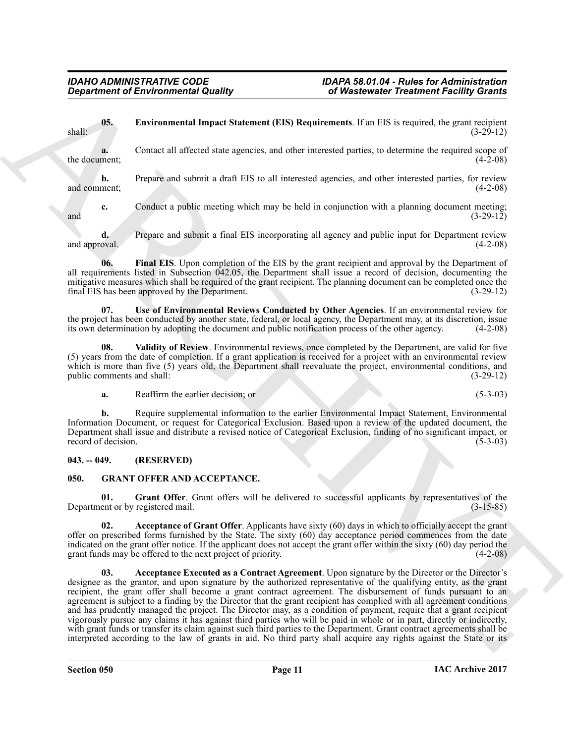<span id="page-10-2"></span>**05. Environmental Impact Statement (EIS) Requirements**. If an EIS is required, the grant recipient (3-29-12) shall: (3-29-12)

**a.** Contact all affected state agencies, and other interested parties, to determine the required scope of the document;  $(4-2-08)$ 

**b.** Prepare and submit a draft EIS to all interested agencies, and other interested parties, for review and comment; (4-2-08)

**c.** Conduct a public meeting which may be held in conjunction with a planning document meeting;<br>(3-29-12)  $(3-29-12)$ 

**d.** Prepare and submit a final EIS incorporating all agency and public input for Department review and approval. (4-2-08) (4-2-08)

<span id="page-10-3"></span>**06. Final EIS**. Upon completion of the EIS by the grant recipient and approval by the Department of all requirements listed in Subsection 042.05, the Department shall issue a record of decision, documenting the mitigative measures which shall be required of the grant recipient. The planning document can be completed once the final EIS has been approved by the Department. (3-29-12) final EIS has been approved by the Department.

<span id="page-10-4"></span>**07. Use of Environmental Reviews Conducted by Other Agencies**. If an environmental review for the project has been conducted by another state, federal, or local agency, the Department may, at its discretion, issue its own determination by adopting the document and public notification process of the other agency. (4-2-08)

**08. Validity of Review**. Environmental reviews, once completed by the Department, are valid for five (5) years from the date of completion. If a grant application is received for a project with an environmental review which is more than five (5) years old, the Department shall reevaluate the project, environmental conditions, and public comments and shall:  $(3-29-12)$ public comments and shall:

<span id="page-10-5"></span>**a.** Reaffirm the earlier decision; or (5-3-03)

**b.** Require supplemental information to the earlier Environmental Impact Statement, Environmental Information Document, or request for Categorical Exclusion. Based upon a review of the updated document, the Department shall issue and distribute a revised notice of Categorical Exclusion, finding of no significant impact, or record of decision.

# <span id="page-10-0"></span>**043. -- 049. (RESERVED)**

# <span id="page-10-6"></span><span id="page-10-1"></span>**050. GRANT OFFER AND ACCEPTANCE.**

<span id="page-10-9"></span>**01. Grant Offer**. Grant offers will be delivered to successful applicants by representatives of the Department or by registered mail. (3-15-85)

<span id="page-10-8"></span><span id="page-10-7"></span>**02. Acceptance of Grant Offer**. Applicants have sixty (60) days in which to officially accept the grant offer on prescribed forms furnished by the State. The sixty (60) day acceptance period commences from the date indicated on the grant offer notice. If the applicant does not accept the grant offer within the sixty (60) day period the grant funds may be offered to the next project of priority. (4-2-08)

*Government of Environmental Equatity Context in the Universe of Physicial Counter Context in the Context in the Context in the Context in the Context in the Context in the Context in the Context in the Context in the Co* Acceptance Executed as a Contract Agreement. Upon signature by the Director or the Director's designee as the grantor, and upon signature by the authorized representative of the qualifying entity, as the grant recipient, the grant offer shall become a grant contract agreement. The disbursement of funds pursuant to an agreement is subject to a finding by the Director that the grant recipient has complied with all agreement conditions and has prudently managed the project. The Director may, as a condition of payment, require that a grant recipient vigorously pursue any claims it has against third parties who will be paid in whole or in part, directly or indirectly, with grant funds or transfer its claim against such third parties to the Department. Grant contract agreements shall be interpreted according to the law of grants in aid. No third party shall acquire any rights against the State or its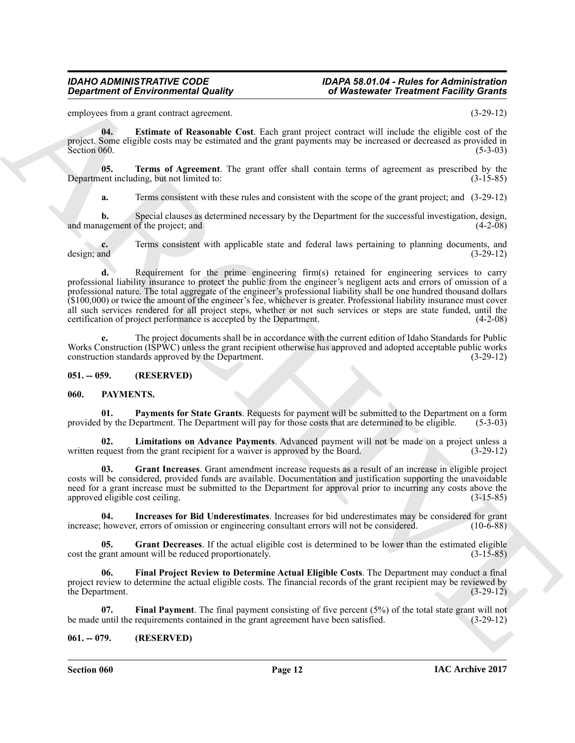## *IDAHO ADMINISTRATIVE CODE IDAPA 58.01.04 - Rules for Administration Department Facility Grants*

employees from a grant contract agreement. (3-29-12)

<span id="page-11-3"></span>**04. Estimate of Reasonable Cost**. Each grant project contract will include the eligible cost of the project. Some eligible costs may be estimated and the grant payments may be increased or decreased as provided in Section 060. Section 060.  $(5-3-03)$ 

**05. Terms of Agreement**. The grant offer shall contain terms of agreement as prescribed by the ent including, but not limited to: (3-15-85) Department including, but not limited to:

<span id="page-11-4"></span>**a.** Terms consistent with these rules and consistent with the scope of the grant project; and  $(3-29-12)$ 

**b.** Special clauses as determined necessary by the Department for the successful investigation, design, agement of the project; and (4-2-08) and management of the project; and

**c.** Terms consistent with applicable state and federal laws pertaining to planning documents, and design; and (3-29-12) design; and (3-29-12)

Government of Environmental Quality ( $\frac{1}{2}$  Whenever of Philosopher Presidential ( $\frac{1}{2}$  CB-12)<br>
and a Facture and ARCHIVES ( $\frac{1}{2}$  CB-12)  $\frac{1}{2}$  CB-12)  $\frac{1}{2}$  CB-12)  $\frac{1}{2}$  CB-12)  $\frac{1}{2}$  CB-12)  $\frac{1$ **d.** Requirement for the prime engineering firm(s) retained for engineering services to carry professional liability insurance to protect the public from the engineer's negligent acts and errors of omission of a professional nature. The total aggregate of the engineer's professional liability shall be one hundred thousand dollars (\$100,000) or twice the amount of the engineer's fee, whichever is greater. Professional liability insurance must cover all such services rendered for all project steps, whether or not such services or steps are state funded, until the certification of project performance is accepted by the Department. (4-2-08) certification of project performance is accepted by the Department.

The project documents shall be in accordance with the current edition of Idaho Standards for Public Works Construction (ISPWC) unless the grant recipient otherwise has approved and adopted acceptable public works construction standards approved by the Department. (3-29-12) construction standards approved by the Department.

### <span id="page-11-0"></span>**051. -- 059. (RESERVED)**

### <span id="page-11-5"></span><span id="page-11-1"></span>**060. PAYMENTS.**

<span id="page-11-12"></span>**01. Payments for State Grants**. Requests for payment will be submitted to the Department on a form provided by the Department. The Department will pay for those costs that are determined to be eligible. (5-3-03)

<span id="page-11-11"></span>**02.** Limitations on Advance Payments. Advanced payment will not be made on a project unless a equest from the grant recipient for a waiver is approved by the Board. (3-29-12) written request from the grant recipient for a waiver is approved by the Board.

<span id="page-11-9"></span>**03. Grant Increases**. Grant amendment increase requests as a result of an increase in eligible project costs will be considered, provided funds are available. Documentation and justification supporting the unavoidable need for a grant increase must be submitted to the Department for approval prior to incurring any costs above the approved eligible cost ceiling. (3-15-85)

<span id="page-11-10"></span>**04.** Increases for Bid Underestimates. Increases for bid underestimates may be considered for grant however, errors of omission or engineering consultant errors will not be considered. (10-6-88) increase; however, errors of omission or engineering consultant errors will not be considered.

<span id="page-11-8"></span>**05. Grant Decreases**. If the actual eligible cost is determined to be lower than the estimated eligible cost the grant amount will be reduced proportionately. (3-15-85)

<span id="page-11-7"></span>**06. Final Project Review to Determine Actual Eligible Costs**. The Department may conduct a final project review to determine the actual eligible costs. The financial records of the grant recipient may be reviewed by the Department. (3-29-12)

<span id="page-11-6"></span>**07. Final Payment**. The final payment consisting of five percent (5%) of the total state grant will not be made until the requirements contained in the grant agreement have been satisfied. (3-29-12)

### <span id="page-11-2"></span>**061. -- 079. (RESERVED)**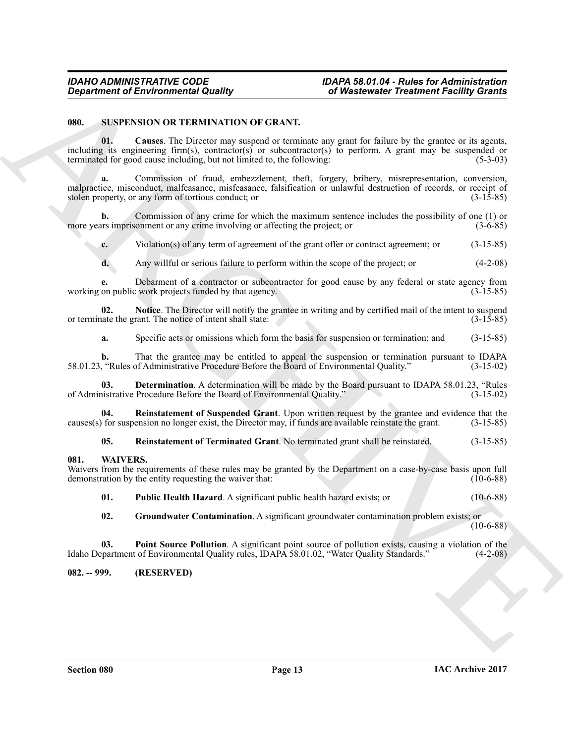# *IDAHO ADMINISTRATIVE CODE IDAPA 58.01.04 - Rules for Administration of Wastewater Treatment Facility Grants*

## <span id="page-12-3"></span><span id="page-12-0"></span>**080. SUSPENSION OR TERMINATION OF GRANT.**

<span id="page-12-4"></span>**01. Causes**. The Director may suspend or terminate any grant for failure by the grantee or its agents, including its engineering firm(s), contractor(s) or subcontractor(s) to perform. A grant may be suspended or terminated for good cause including, but not limited to, the following: (5-3-03)

Generation of Environmential Quality ( $\overrightarrow{B}$  Whenever of realisting the statistic properties of the statistic properties of the statistic properties of the statistic properties of the statistic properties of the statist **a.** Commission of fraud, embezzlement, theft, forgery, bribery, misrepresentation, conversion, malpractice, misconduct, malfeasance, misfeasance, falsification or unlawful destruction of records, or receipt of stolen property, or any form of tortious conduct; or (3-15-85)

**b.** Commission of any crime for which the maximum sentence includes the possibility of one (1) or its imprisonment or any crime involving or affecting the project; or  $(3-6-85)$ more years imprisonment or any crime involving or affecting the project; or

**c.** Violation(s) of any term of agreement of the grant offer or contract agreement; or (3-15-85)

**d.** Any willful or serious failure to perform within the scope of the project; or (4-2-08)

Debarment of a contractor or subcontractor for good cause by any federal or state agency from twork projects funded by that agency. working on public work projects funded by that agency.

**02.** Notice. The Director will notify the grantee in writing and by certified mail of the intent to suspend ate the grant. The notice of intent shall state: (3-15-85) or terminate the grant. The notice of intent shall state:

<span id="page-12-6"></span><span id="page-12-5"></span>**a.** Specific acts or omissions which form the basis for suspension or termination; and (3-15-85)

**b.** That the grantee may be entitled to appeal the suspension or termination pursuant to IDAPA ("Rules of Administrative Procedure Before the Board of Environmental Quality." (3-15-02) 58.01.23, "Rules of Administrative Procedure Before the Board of Environmental Quality."

**03. Determination**. A determination will be made by the Board pursuant to IDAPA 58.01.23, "Rules nistrative Procedure Before the Board of Environmental Quality." (3-15-02) of Administrative Procedure Before the Board of Environmental Quality."

**04. Reinstatement of Suspended Grant**. Upon written request by the grantee and evidence that the causes(s) for suspension no longer exist, the Director may, if funds are available reinstate the grant. (3-15-85)

<span id="page-12-9"></span><span id="page-12-8"></span><span id="page-12-7"></span>**05. Reinstatement of Terminated Grant**. No terminated grant shall be reinstated. (3-15-85)

### <span id="page-12-1"></span>**081. WAIVERS.**

Waivers from the requirements of these rules may be granted by the Department on a case-by-case basis upon full demonstration by the entity requesting the waiver that: (10-6-88) demonstration by the entity requesting the waiver that:

<span id="page-12-12"></span>**01. Public Health Hazard**. A significant public health hazard exists; or (10-6-88)

<span id="page-12-11"></span><span id="page-12-10"></span>**02. Groundwater Contamination**. A significant groundwater contamination problem exists; or  $(10-6-88)$ 

**03. Point Source Pollution**. A significant point source of pollution exists, causing a violation of the Idaho Department of Environmental Quality rules, IDAPA 58.01.02, "Water Quality Standards." (4-2-08)

<span id="page-12-2"></span>**082. -- 999. (RESERVED)**